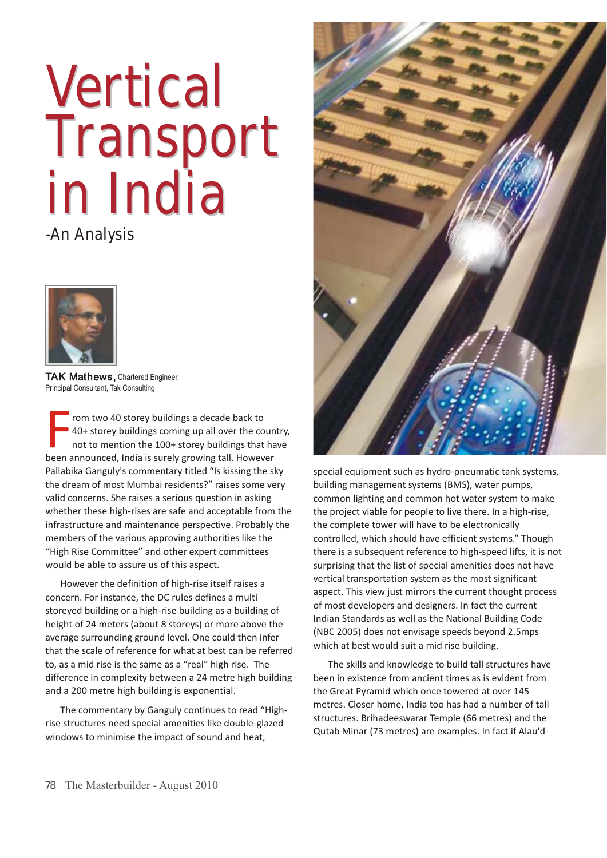# **Vertical** Transport Transport in India

-An Analysis



**TAK Mathews,** Chartered Engineer, Principal Consultant, Tak Consulting

From two 40 storey buildings a decade back to<br>40+ storey buildings coming up all over the cour<br>not to mention the 100+ storey buildings that ho<br>been announced, India is surely growing tall. However rom two 40 storey buildings a decade back to 40+ storey buildings coming up all over the country, not to mention the 100+ storey buildings that have Pallabika Ganguly's commentary titled "Is kissing the sky the dream of most Mumbai residents?" raises some very valid concerns. She raises a serious question in asking whether these high-rises are safe and acceptable from the infrastructure and maintenance perspective. Probably the members of the various approving authorities like the "High Rise Committee" and other expert committees would be able to assure us of this aspect.

However the definition of high-rise itself raises a concern. For instance, the DC rules defines a multi storeyed building or a high-rise building as a building of height of 24 meters (about 8 storeys) or more above the average surrounding ground level. One could then infer that the scale of reference for what at best can be referred to, as a mid rise is the same as a "real" high rise. The difference in complexity between a 24 metre high building and a 200 metre high building is exponential.

The commentary by Ganguly continues to read "Highrise structures need special amenities like double-glazed windows to minimise the impact of sound and heat,



special equipment such as hydro-pneumatic tank systems, building management systems (BMS), water pumps, common lighting and common hot water system to make the project viable for people to live there. In a high-rise, the complete tower will have to be electronically controlled, which should have efficient systems." Though there is a subsequent reference to high-speed lifts, it is not surprising that the list of special amenities does not have vertical transportation system as the most significant aspect. This view just mirrors the current thought process of most developers and designers. In fact the current Indian Standards as well as the National Building Code (NBC 2005) does not envisage speeds beyond 2.5mps which at best would suit a mid rise building.

The skills and knowledge to build tall structures have been in existence from ancient times as is evident from the Great Pyramid which once towered at over 145 metres. Closer home, India too has had a number of tall structures. Brihadeeswarar Temple (66 metres) and the Qutab Minar (73 metres) are examples. In fact if Alau'd-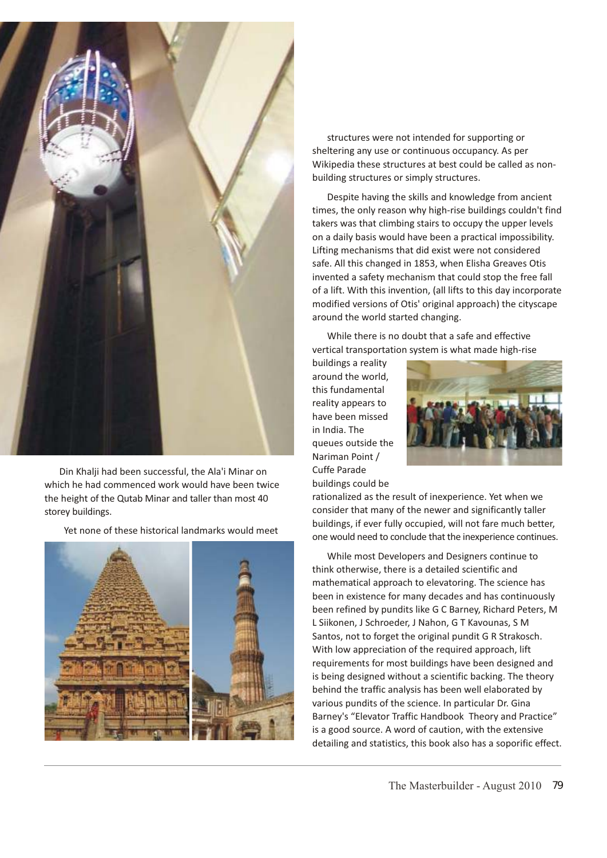

Din Khalji had been successful, the Ala'i Minar on which he had commenced work would have been twice the height of the Qutab Minar and taller than most 40 storey buildings.

Yet none of these historical landmarks would meet



structures were not intended for supporting or sheltering any use or continuous occupancy. As per Wikipedia these structures at best could be called as nonbuilding structures or simply structures.

Despite having the skills and knowledge from ancient times, the only reason why high-rise buildings couldn't find takers was that climbing stairs to occupy the upper levels on a daily basis would have been a practical impossibility. Lifting mechanisms that did exist were not considered safe. All this changed in 1853, when Elisha Greaves Otis invented a safety mechanism that could stop the free fall of a lift. With this invention, (all lifts to this day incorporate modified versions of Otis' original approach) the cityscape around the world started changing.

While there is no doubt that a safe and effective vertical transportation system is what made high-rise

buildings a reality around the world, this fundamental reality appears to have been missed in India. The queues outside the Nariman Point / Cuffe Parade buildings could be



rationalized as the result of inexperience. Yet when we consider that many of the newer and significantly taller buildings, if ever fully occupied, will not fare much better, one would need to conclude that the inexperience continues.

While most Developers and Designers continue to think otherwise, there is a detailed scientific and mathematical approach to elevatoring. The science has been in existence for many decades and has continuously been refined by pundits like G C Barney, Richard Peters, M L Siikonen, J Schroeder, J Nahon, G T Kavounas, S M Santos, not to forget the original pundit G R Strakosch. With low appreciation of the required approach, lift requirements for most buildings have been designed and is being designed without a scientific backing. The theory behind the traffic analysis has been well elaborated by various pundits of the science. In particular Dr. Gina Barney's "Elevator Traffic Handbook Theory and Practice" is a good source. A word of caution, with the extensive detailing and statistics, this book also has a soporific effect.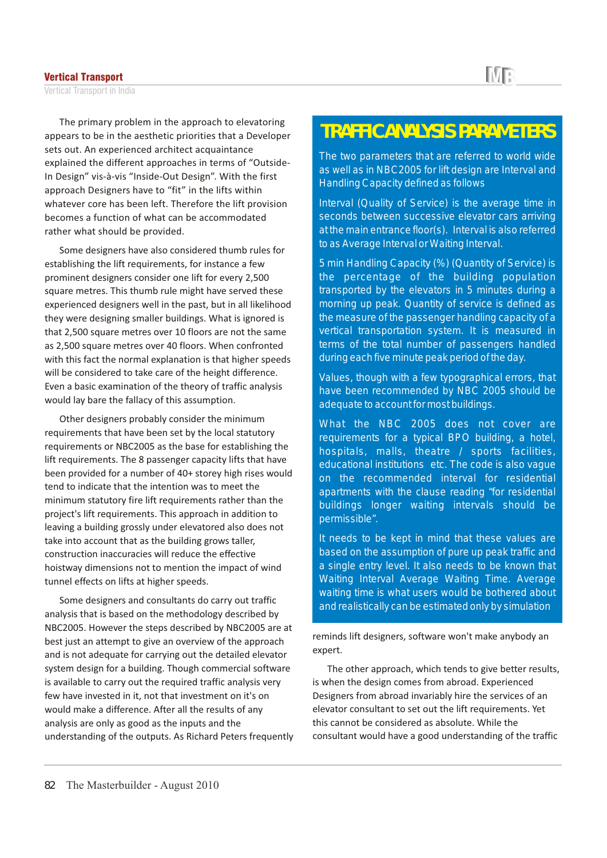#### Vertical Transport

Vertical Transport in India

The primary problem in the approach to elevatoring appears to be in the aesthetic priorities that a Developer sets out. An experienced architect acquaintance explained the different approaches in terms of "Outside-In Design" vis-à-vis "Inside-Out Design". With the first approach Designers have to "fit" in the lifts within whatever core has been left. Therefore the lift provision becomes a function of what can be accommodated rather what should be provided.

Some designers have also considered thumb rules for establishing the lift requirements, for instance a few prominent designers consider one lift for every 2,500 square metres. This thumb rule might have served these experienced designers well in the past, but in all likelihood they were designing smaller buildings. What is ignored is that 2,500 square metres over 10 floors are not the same as 2,500 square metres over 40 floors. When confronted with this fact the normal explanation is that higher speeds will be considered to take care of the height difference. Even a basic examination of the theory of traffic analysis would lay bare the fallacy of this assumption.

Other designers probably consider the minimum requirements that have been set by the local statutory requirements or NBC2005 as the base for establishing the lift requirements. The 8 passenger capacity lifts that have been provided for a number of 40+ storey high rises would tend to indicate that the intention was to meet the minimum statutory fire lift requirements rather than the project's lift requirements. This approach in addition to leaving a building grossly under elevatored also does not take into account that as the building grows taller, construction inaccuracies will reduce the effective hoistway dimensions not to mention the impact of wind tunnel effects on lifts at higher speeds.

Some designers and consultants do carry out traffic analysis that is based on the methodology described by NBC2005. However the steps described by NBC2005 are at best just an attempt to give an overview of the approach and is not adequate for carrying out the detailed elevator system design for a building. Though commercial software is available to carry out the required traffic analysis very few have invested in it, not that investment on it's on would make a difference. After all the results of any analysis are only as good as the inputs and the understanding of the outputs. As Richard Peters frequently

## **TRAFFIC ANALYSIS PARAMETERS**

The two parameters that are referred to world wide as well as in NBC2005 for lift design are Interval and Handling Capacity defined as follows

Interval (Quality of Service) is the average time in seconds between successive elevator cars arriving at the main entrance floor(s). Interval is also referred to as Average Interval or Waiting Interval.

5 min Handling Capacity (%) (Quantity of Service) is the percentage of the building population transported by the elevators in 5 minutes during a morning up peak. Quantity of service is defined as the measure of the passenger handling capacity of a vertical transportation system. It is measured in terms of the total number of passengers handled during each five minute peak period of the day.

Values, though with a few typographical errors, that have been recommended by NBC 2005 should be adequate to account for most buildings.

What the NBC 2005 does not cover are requirements for a typical BPO building, a hotel, hospitals, malls, theatre / sports facilities, educational institutions etc. The code is also vague on the recommended interval for residential apartments with the clause reading "for residential buildings longer waiting intervals should be permissible".

It needs to be kept in mind that these values are based on the assumption of pure up peak traffic and a single entry level. It also needs to be known that Waiting Interval Average Waiting Time. Average waiting time is what users would be bothered about and realistically can be estimated only by simulation

reminds lift designers, software won't make anybody an expert.

The other approach, which tends to give better results, is when the design comes from abroad. Experienced Designers from abroad invariably hire the services of an elevator consultant to set out the lift requirements. Yet this cannot be considered as absolute. While the consultant would have a good understanding of the traffic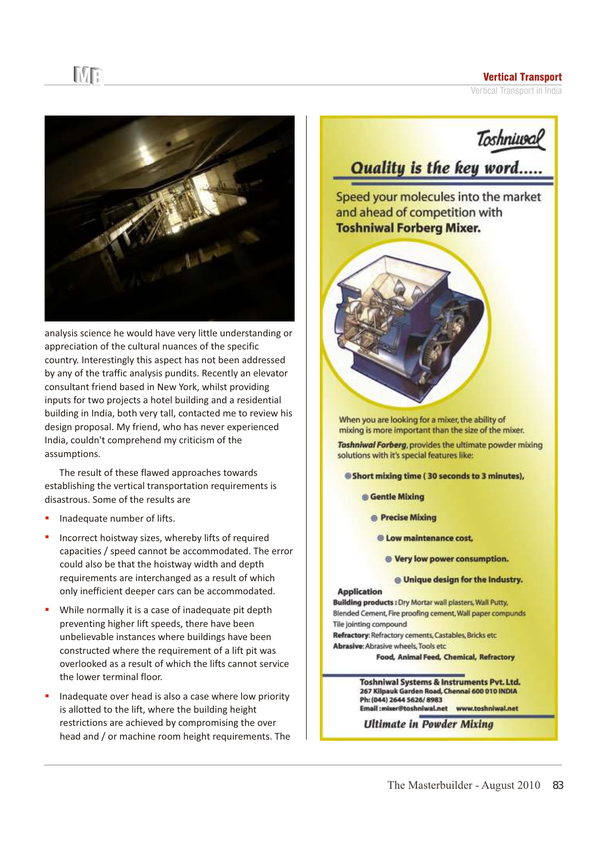### Vertical Transport

Vertical Transport in India



analysis science he would have very little understanding or appreciation of the cultural nuances of the specific country. Interestingly this aspect has not been addressed by any of the traffic analysis pundits. Recently an elevator consultant friend based in New York, whilst providing inputs for two projects a hotel building and a residential building in India, both very tall, contacted me to review his design proposal. My friend, who has never experienced India, couldn't comprehend my criticism of the assumptions.

The result of these flawed approaches towards establishing the vertical transportation requirements is disastrous. Some of the results are

Inadequate number of lifts. §

MR

- Incorrect hoistway sizes, whereby lifts of required capacities / speed cannot be accommodated. The error could also be that the hoistway width and depth requirements are interchanged as a result of which only inefficient deeper cars can be accommodated. §
- While normally it is a case of inadequate pit depth preventing higher lift speeds, there have been unbelievable instances where buildings have been constructed where the requirement of a lift pit was overlooked as a result of which the lifts cannot service the lower terminal floor. §
- Inadequate over head is also a case where low priority is allotted to the lift, where the building height restrictions are achieved by compromising the over head and / or machine room height requirements. The §

**Toshniusal** 

## **Quality is the key word.....**

Speed your molecules into the market and ahead of competition with **Toshniwal Forberg Mixer.** 



When you are looking for a mixer, the ability of mixing is more important than the size of the mixer.

Toshniwal Forberg, provides the ultimate powder mixing solutions with it's special features like:

**Short mixing time (30 seconds to 3 minutes),** 

**Gentle Mixing** 

- **O** Precise Mixing
- <sup>®</sup> Low maintenance cost,
	- <sup>®</sup> Very low power consumption.

#### **@ Unique design for the Industry.**

**Application** Building products : Dry Mortar wall plasters, Wall Putty, Blended Cement, Fire proofing cement, Wall paper compunds Tile jointing compound

Refractory: Refractory cements, Castables, Bricks etc. Abrasive: Abrasive wheels, Tools etc.

**Food, Animal Feed, Chemical, Refractory** 

Toshniwal Systems & Instruments Pvt. Ltd. 267 Kilpauk Garden Road, Chennal 600 010 INDIA Ph: (044) 2644 5626/8983 Email:mixer@toshniwal.net www.toshniwai.net

**Ultimate in Powder Mixing**